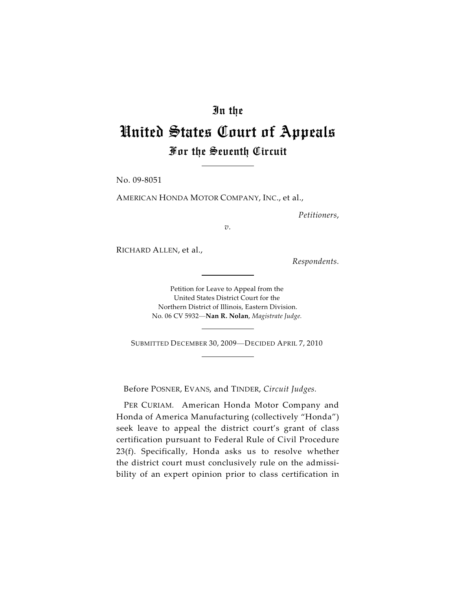## In the

## United States Court of Appeals For the Seventh Circuit

No. 09-8051

AMERICAN HONDA MOTOR COMPANY, INC., et al.,

*Petitioners*,

*v.*

RICHARD ALLEN, et al.,

*Respondents.*

Petition for Leave to Appeal from the United States District Court for the Northern District of Illinois, Eastern Division. No. 06 CV 5932—**Nan R. Nolan**, *Magistrate Judge.*

SUBMITTED DECEMBER 30, <sup>2009</sup>—DECIDED APRIL 7, <sup>2010</sup>

Before POSNER, EVANS, and TINDER, *Circuit Judges.*

PER CURIAM*.* American Honda Motor Company and Honda of America Manufacturing (collectively "Honda") seek leave to appeal the district court's grant of class certification pursuant to Federal Rule of Civil Procedure 23(f). Specifically, Honda asks us to resolve whether the district court must conclusively rule on the admissibility of an expert opinion prior to class certification in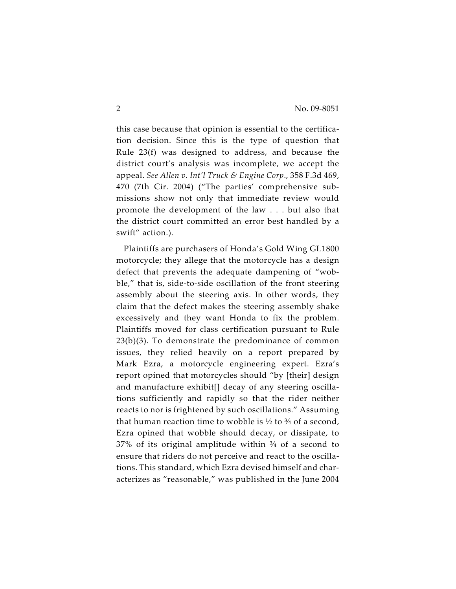this case because that opinion is essential to the certification decision. Since this is the type of question that Rule 23(f) was designed to address, and because the district court's analysis was incomplete, we accept the appeal. *See Allen v. Int'l Truck & Engine Corp*., 358 F.3d 469, 470 (7th Cir. 2004) ("The parties' comprehensive submissions show not only that immediate review would promote the development of the law . . . but also that the district court committed an error best handled by a swift" action.).

Plaintiffs are purchasers of Honda's Gold Wing GL1800 motorcycle; they allege that the motorcycle has a design defect that prevents the adequate dampening of "wobble," that is, side-to-side oscillation of the front steering assembly about the steering axis. In other words, they claim that the defect makes the steering assembly shake excessively and they want Honda to fix the problem. Plaintiffs moved for class certification pursuant to Rule 23(b)(3). To demonstrate the predominance of common issues, they relied heavily on a report prepared by Mark Ezra, a motorcycle engineering expert. Ezra's report opined that motorcycles should "by [their] design and manufacture exhibit[] decay of any steering oscillations sufficiently and rapidly so that the rider neither reacts to nor is frightened by such oscillations." Assuming that human reaction time to wobble is  $\frac{1}{2}$  to  $\frac{3}{4}$  of a second, Ezra opined that wobble should decay, or dissipate, to  $37\%$  of its original amplitude within  $\frac{3}{4}$  of a second to ensure that riders do not perceive and react to the oscillations. This standard, which Ezra devised himself and characterizes as "reasonable," was published in the June 2004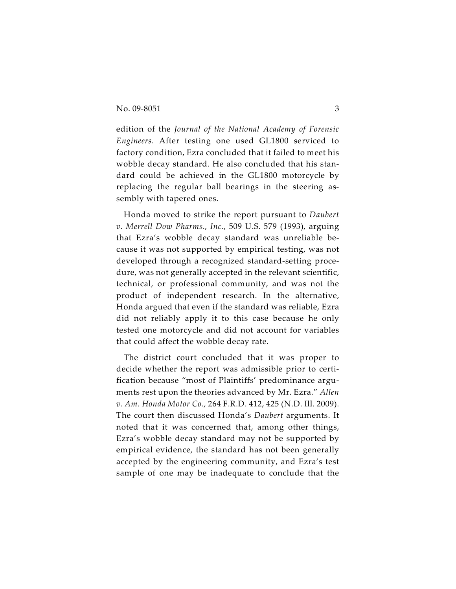edition of the *Journal of the National Academy of Forensic Engineers.* After testing one used GL1800 serviced to factory condition, Ezra concluded that it failed to meet his wobble decay standard. He also concluded that his standard could be achieved in the GL1800 motorcycle by replacing the regular ball bearings in the steering assembly with tapered ones.

Honda moved to strike the report pursuant to *Daubert v. Merrell Dow Pharms., Inc.*, 509 U.S. 579 (1993), arguing that Ezra's wobble decay standard was unreliable because it was not supported by empirical testing, was not developed through a recognized standard-setting procedure, was not generally accepted in the relevant scientific, technical, or professional community, and was not the product of independent research. In the alternative, Honda argued that even if the standard was reliable, Ezra did not reliably apply it to this case because he only tested one motorcycle and did not account for variables that could affect the wobble decay rate.

The district court concluded that it was proper to decide whether the report was admissible prior to certification because "most of Plaintiffs' predominance arguments rest upon the theories advanced by Mr. Ezra." *Allen v. Am. Honda Motor Co.,* 264 F.R.D. 412, 425 (N.D. Ill. 2009). The court then discussed Honda's *Daubert* arguments. It noted that it was concerned that, among other things, Ezra's wobble decay standard may not be supported by empirical evidence, the standard has not been generally accepted by the engineering community, and Ezra's test sample of one may be inadequate to conclude that the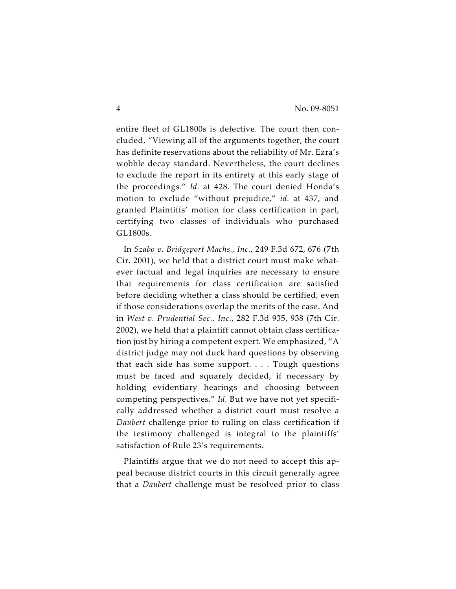entire fleet of GL1800s is defective. The court then concluded, "Viewing all of the arguments together, the court has definite reservations about the reliability of Mr. Ezra's wobble decay standard. Nevertheless, the court declines to exclude the report in its entirety at this early stage of the proceedings." *Id.* at 428. The court denied Honda's motion to exclude "without prejudice," *id.* at 437, and granted Plaintiffs' motion for class certification in part, certifying two classes of individuals who purchased GL1800s.

In *Szabo v. Bridgeport Machs., Inc.*, 249 F.3d 672, 676 (7th Cir. 2001), we held that a district court must make whatever factual and legal inquiries are necessary to ensure that requirements for class certification are satisfied before deciding whether a class should be certified, even if those considerations overlap the merits of the case. And in *West v. Prudential Sec., Inc.*, 282 F.3d 935, 938 (7th Cir. 2002), we held that a plaintiff cannot obtain class certification just by hiring a competent expert. We emphasized, "A district judge may not duck hard questions by observing that each side has some support. . . . Tough questions must be faced and squarely decided, if necessary by holding evidentiary hearings and choosing between competing perspectives." *Id.* But we have not yet specifically addressed whether a district court must resolve a *Daubert* challenge prior to ruling on class certification if the testimony challenged is integral to the plaintiffs' satisfaction of Rule 23's requirements.

Plaintiffs argue that we do not need to accept this appeal because district courts in this circuit generally agree that a *Daubert* challenge must be resolved prior to class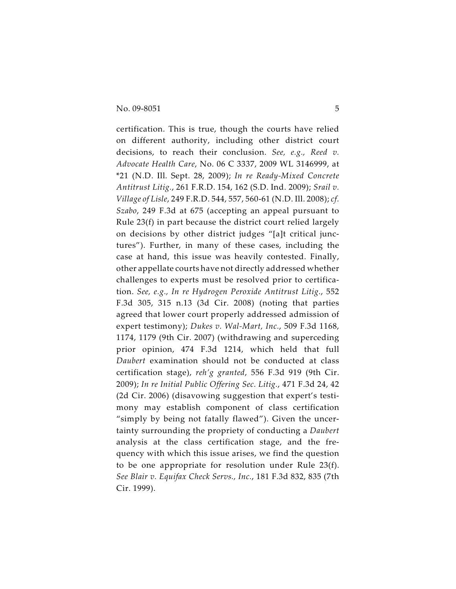certification. This is true, though the courts have relied on different authority, including other district court decisions, to reach their conclusion. *See, e.g., Reed v. Advocate Health Care*, No. 06 C 3337, 2009 WL 3146999, at \*21 (N.D. Ill. Sept. 28, 2009); *In re Ready-Mixed Concrete Antitrust Litig.*, 261 F.R.D. 154, 162 (S.D. Ind. 2009); *Srail v. Village of Lisle*, 249 F.R.D. 544, 557, 560-61 (N.D. Ill. 2008); *cf. Szabo*, 249 F.3d at 675 (accepting an appeal pursuant to Rule 23(f) in part because the district court relied largely on decisions by other district judges "[a]t critical junctures"). Further, in many of these cases, including the case at hand, this issue was heavily contested. Finally, other appellate courts have not directly addressed whether challenges to experts must be resolved prior to certification. *See, e.g., In re Hydrogen Peroxide Antitrust Litig.*, 552 F.3d 305, 315 n.13 (3d Cir. 2008) (noting that parties agreed that lower court properly addressed admission of expert testimony); *Dukes v. Wal-Mart, Inc.*, 509 F.3d 1168, 1174, 1179 (9th Cir. 2007) (withdrawing and superceding prior opinion, 474 F.3d 1214, which held that full *Daubert* examination should not be conducted at class certification stage), *reh'g granted*, 556 F.3d 919 (9th Cir. 2009); *In re Initial Public Offering Sec. Litig.*, 471 F.3d 24, 42 (2d Cir. 2006) (disavowing suggestion that expert's testimony may establish component of class certification "simply by being not fatally flawed"). Given the uncertainty surrounding the propriety of conducting a *Daubert* analysis at the class certification stage, and the frequency with which this issue arises, we find the question to be one appropriate for resolution under Rule 23(f). *See Blair v. Equifax Check Servs., Inc.*, 181 F.3d 832, 835 (7th Cir. 1999).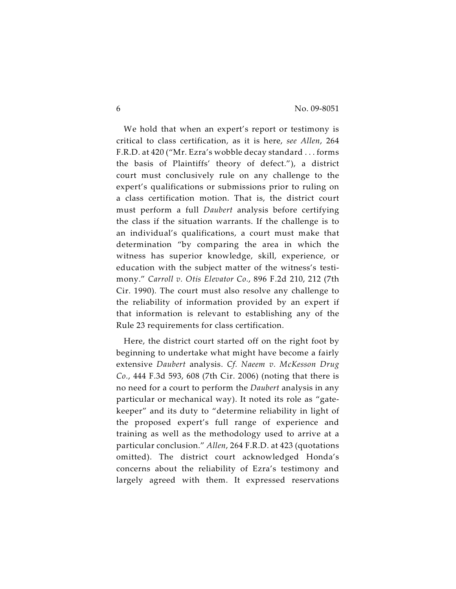We hold that when an expert's report or testimony is critical to class certification, as it is here, *see Allen*, 264 F.R.D. at 420 ("Mr. Ezra's wobble decay standard . . . forms the basis of Plaintiffs' theory of defect."), a district court must conclusively rule on any challenge to the expert's qualifications or submissions prior to ruling on a class certification motion. That is, the district court must perform a full *Daubert* analysis before certifying the class if the situation warrants. If the challenge is to an individual's qualifications, a court must make that determination "by comparing the area in which the witness has superior knowledge, skill, experience, or education with the subject matter of the witness's testimony." *Carroll v. Otis Elevator Co.*, 896 F.2d 210, 212 (7th Cir. 1990). The court must also resolve any challenge to the reliability of information provided by an expert if that information is relevant to establishing any of the Rule 23 requirements for class certification.

Here, the district court started off on the right foot by beginning to undertake what might have become a fairly extensive *Daubert* analysis. *Cf. Naeem v. McKesson Drug Co.*, 444 F.3d 593, 608 (7th Cir. 2006) (noting that there is no need for a court to perform the *Daubert* analysis in any particular or mechanical way). It noted its role as "gatekeeper" and its duty to "determine reliability in light of the proposed expert's full range of experience and training as well as the methodology used to arrive at a particular conclusion." *Allen*, 264 F.R.D. at 423 (quotations omitted). The district court acknowledged Honda's concerns about the reliability of Ezra's testimony and largely agreed with them. It expressed reservations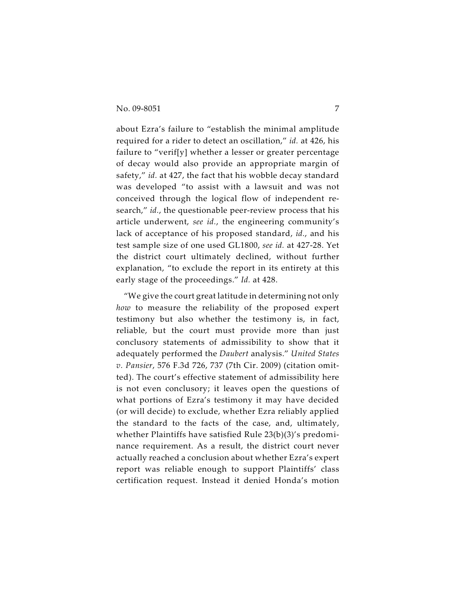about Ezra's failure to "establish the minimal amplitude required for a rider to detect an oscillation," *id.* at 426, his failure to "verif[y] whether a lesser or greater percentage of decay would also provide an appropriate margin of safety," *id.* at 427, the fact that his wobble decay standard was developed "to assist with a lawsuit and was not conceived through the logical flow of independent research," *id.*, the questionable peer-review process that his article underwent, *see id.*, the engineering community's lack of acceptance of his proposed standard, *id.*, and his test sample size of one used GL1800, *see id.* at 427-28. Yet the district court ultimately declined, without further explanation, "to exclude the report in its entirety at this early stage of the proceedings." *Id.* at 428.

"We give the court great latitude in determining not only *how* to measure the reliability of the proposed expert testimony but also whether the testimony is, in fact, reliable, but the court must provide more than just conclusory statements of admissibility to show that it adequately performed the *Daubert* analysis." *United States v. Pansier*, 576 F.3d 726, 737 (7th Cir. 2009) (citation omitted). The court's effective statement of admissibility here is not even conclusory; it leaves open the questions of what portions of Ezra's testimony it may have decided (or will decide) to exclude, whether Ezra reliably applied the standard to the facts of the case, and, ultimately, whether Plaintiffs have satisfied Rule 23(b)(3)'s predominance requirement. As a result, the district court never actually reached a conclusion about whether Ezra's expert report was reliable enough to support Plaintiffs' class certification request. Instead it denied Honda's motion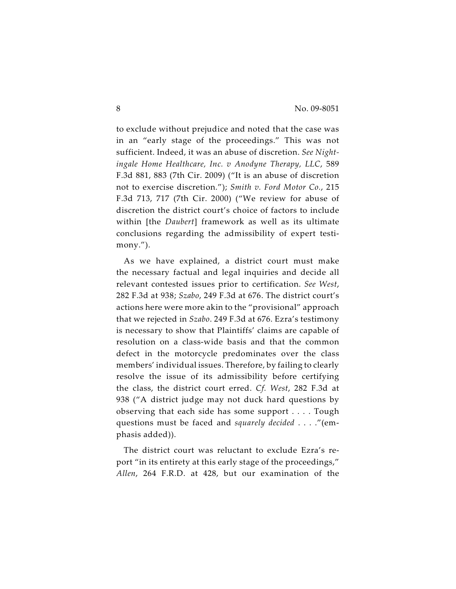to exclude without prejudice and noted that the case was in an "early stage of the proceedings." This was not sufficient. Indeed, it was an abuse of discretion. *See Nightingale Home Healthcare, Inc. v Anodyne Therapy, LLC*, 589 F.3d 881, 883 (7th Cir. 2009) ("It is an abuse of discretion not to exercise discretion."); *Smith v. Ford Motor Co.*, 215 F.3d 713, 717 (7th Cir. 2000) ("We review for abuse of discretion the district court's choice of factors to include within [the *Daubert*] framework as well as its ultimate conclusions regarding the admissibility of expert testimony.").

As we have explained, a district court must make the necessary factual and legal inquiries and decide all relevant contested issues prior to certification. *See West*, 282 F.3d at 938; *Szabo*, 249 F.3d at 676. The district court's actions here were more akin to the "provisional" approach that we rejected in *Szabo*. 249 F.3d at 676. Ezra's testimony is necessary to show that Plaintiffs' claims are capable of resolution on a class-wide basis and that the common defect in the motorcycle predominates over the class members' individual issues. Therefore, by failing to clearly resolve the issue of its admissibility before certifying the class, the district court erred. *Cf. West*, 282 F.3d at 938 ("A district judge may not duck hard questions by observing that each side has some support . . . . Tough questions must be faced and *squarely decided* . . . ."(emphasis added)).

The district court was reluctant to exclude Ezra's report "in its entirety at this early stage of the proceedings," *Allen*, 264 F.R.D. at 428, but our examination of the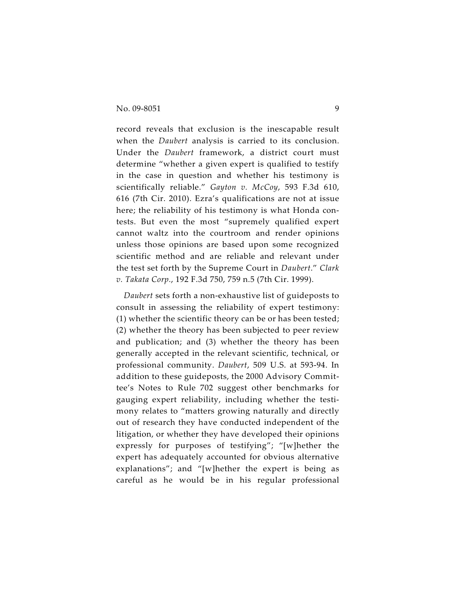record reveals that exclusion is the inescapable result when the *Daubert* analysis is carried to its conclusion. Under the *Daubert* framework, a district court must determine "whether a given expert is qualified to testify in the case in question and whether his testimony is scientifically reliable." *Gayton v. McCoy*, 593 F.3d 610, 616 (7th Cir. 2010). Ezra's qualifications are not at issue here; the reliability of his testimony is what Honda contests. But even the most "supremely qualified expert cannot waltz into the courtroom and render opinions unless those opinions are based upon some recognized scientific method and are reliable and relevant under the test set forth by the Supreme Court in *Daubert*." *Clark v. Takata Corp.*, 192 F.3d 750, 759 n.5 (7th Cir. 1999).

*Daubert* sets forth a non-exhaustive list of guideposts to consult in assessing the reliability of expert testimony: (1) whether the scientific theory can be or has been tested; (2) whether the theory has been subjected to peer review and publication; and (3) whether the theory has been generally accepted in the relevant scientific, technical, or professional community. *Daubert*, 509 U.S. at 593-94. In addition to these guideposts, the 2000 Advisory Committee's Notes to Rule 702 suggest other benchmarks for gauging expert reliability, including whether the testimony relates to "matters growing naturally and directly out of research they have conducted independent of the litigation, or whether they have developed their opinions expressly for purposes of testifying"; "[w]hether the expert has adequately accounted for obvious alternative explanations"; and "[w]hether the expert is being as careful as he would be in his regular professional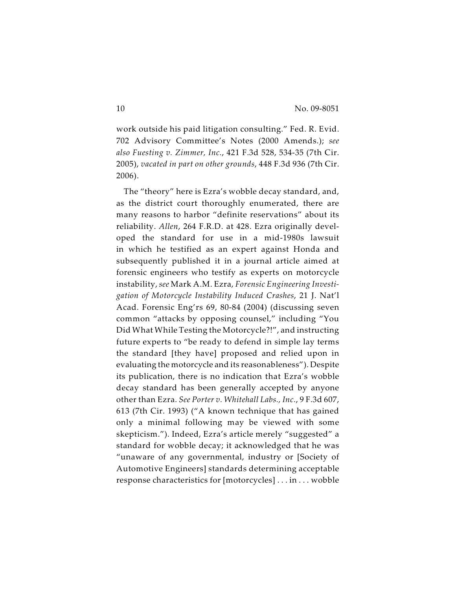work outside his paid litigation consulting." Fed. R. Evid. 702 Advisory Committee's Notes (2000 Amends.); *see also Fuesting v. Zimmer, Inc.*, 421 F.3d 528, 534-35 (7th Cir. 2005), *vacated in part on other grounds*, 448 F.3d 936 (7th Cir. 2006).

The "theory" here is Ezra's wobble decay standard, and, as the district court thoroughly enumerated, there are many reasons to harbor "definite reservations" about its reliability. *Allen*, 264 F.R.D. at 428. Ezra originally developed the standard for use in a mid-1980s lawsuit in which he testified as an expert against Honda and subsequently published it in a journal article aimed at forensic engineers who testify as experts on motorcycle instability, *see* Mark A.M. Ezra, *Forensic Engineering Investigation of Motorcycle Instability Induced Crashes*, 21 J. Nat'l Acad. Forensic Eng'rs 69, 80-84 (2004) (discussing seven common "attacks by opposing counsel," including "You Did What While Testing the Motorcycle?!", and instructing future experts to "be ready to defend in simple lay terms the standard [they have] proposed and relied upon in evaluating the motorcycle and its reasonableness"). Despite its publication, there is no indication that Ezra's wobble decay standard has been generally accepted by anyone other than Ezra. *See Porter v. Whitehall Labs., Inc.*, 9 F.3d 607, 613 (7th Cir. 1993) ("A known technique that has gained only a minimal following may be viewed with some skepticism."). Indeed, Ezra's article merely "suggested" a standard for wobble decay; it acknowledged that he was "unaware of any governmental, industry or [Society of Automotive Engineers] standards determining acceptable response characteristics for [motorcycles] . . . in . . . wobble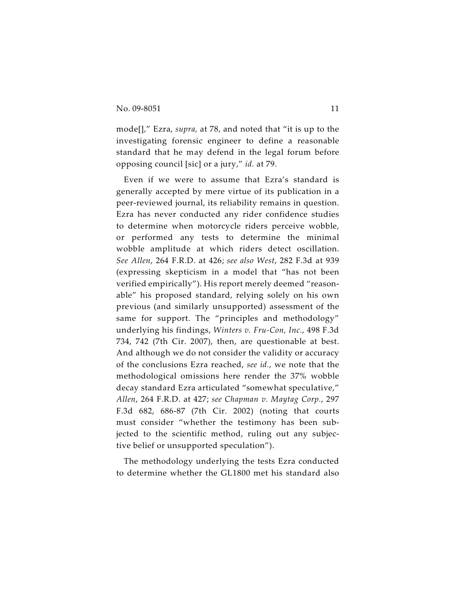mode[]," Ezra, *supra,* at 78, and noted that "it is up to the investigating forensic engineer to define a reasonable standard that he may defend in the legal forum before opposing council [sic] or a jury," *id.* at 79.

Even if we were to assume that Ezra's standard is generally accepted by mere virtue of its publication in a peer-reviewed journal, its reliability remains in question. Ezra has never conducted any rider confidence studies to determine when motorcycle riders perceive wobble, or performed any tests to determine the minimal wobble amplitude at which riders detect oscillation. *See Allen*, 264 F.R.D. at 426; *see also West*, 282 F.3d at 939 (expressing skepticism in a model that "has not been verified empirically"). His report merely deemed "reasonable" his proposed standard, relying solely on his own previous (and similarly unsupported) assessment of the same for support. The "principles and methodology" underlying his findings, *Winters v. Fru-Con, Inc.*, 498 F.3d 734, 742 (7th Cir. 2007), then, are questionable at best. And although we do not consider the validity or accuracy of the conclusions Ezra reached, *see id.*, we note that the methodological omissions here render the 37% wobble decay standard Ezra articulated "somewhat speculative," *Allen*, 264 F.R.D. at 427; *see Chapman v. Maytag Corp.*, 297 F.3d 682, 686-87 (7th Cir. 2002) (noting that courts must consider "whether the testimony has been subjected to the scientific method, ruling out any subjective belief or unsupported speculation").

The methodology underlying the tests Ezra conducted to determine whether the GL1800 met his standard also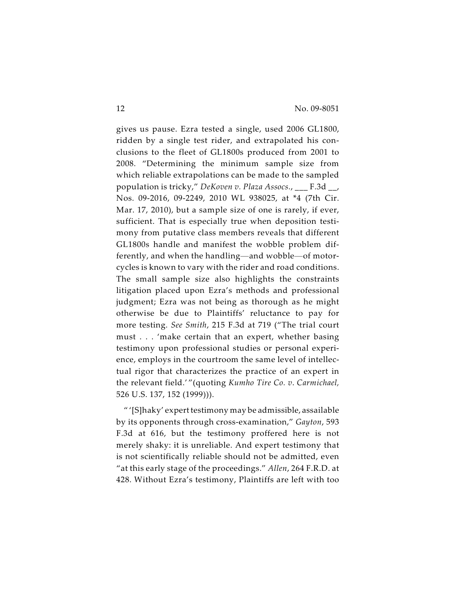gives us pause. Ezra tested a single, used 2006 GL1800, ridden by a single test rider, and extrapolated his conclusions to the fleet of GL1800s produced from 2001 to 2008. "Determining the minimum sample size from which reliable extrapolations can be made to the sampled population is tricky," *DeKoven v. Plaza Assocs.*, \_\_\_ F.3d \_\_, Nos. 09-2016, 09-2249, 2010 WL 938025, at \*4 (7th Cir. Mar. 17, 2010), but a sample size of one is rarely, if ever, sufficient. That is especially true when deposition testimony from putative class members reveals that different GL1800s handle and manifest the wobble problem differently, and when the handling—and wobble—of motorcycles is known to vary with the rider and road conditions. The small sample size also highlights the constraints litigation placed upon Ezra's methods and professional judgment; Ezra was not being as thorough as he might otherwise be due to Plaintiffs' reluctance to pay for more testing. *See Smith*, 215 F.3d at 719 ("The trial court must . . . 'make certain that an expert, whether basing testimony upon professional studies or personal experience, employs in the courtroom the same level of intellectual rigor that characterizes the practice of an expert in the relevant field.' "(quoting *Kumho Tire Co. v*. *Carmichael,* 526 U.S. 137, 152 (1999))).

" '[S]haky' expert testimony may be admissible, assailable by its opponents through cross-examination," *Gayton*, 593 F.3d at 616, but the testimony proffered here is not merely shaky: it is unreliable. And expert testimony that is not scientifically reliable should not be admitted, even "at this early stage of the proceedings." *Allen*, 264 F.R.D. at 428. Without Ezra's testimony, Plaintiffs are left with too